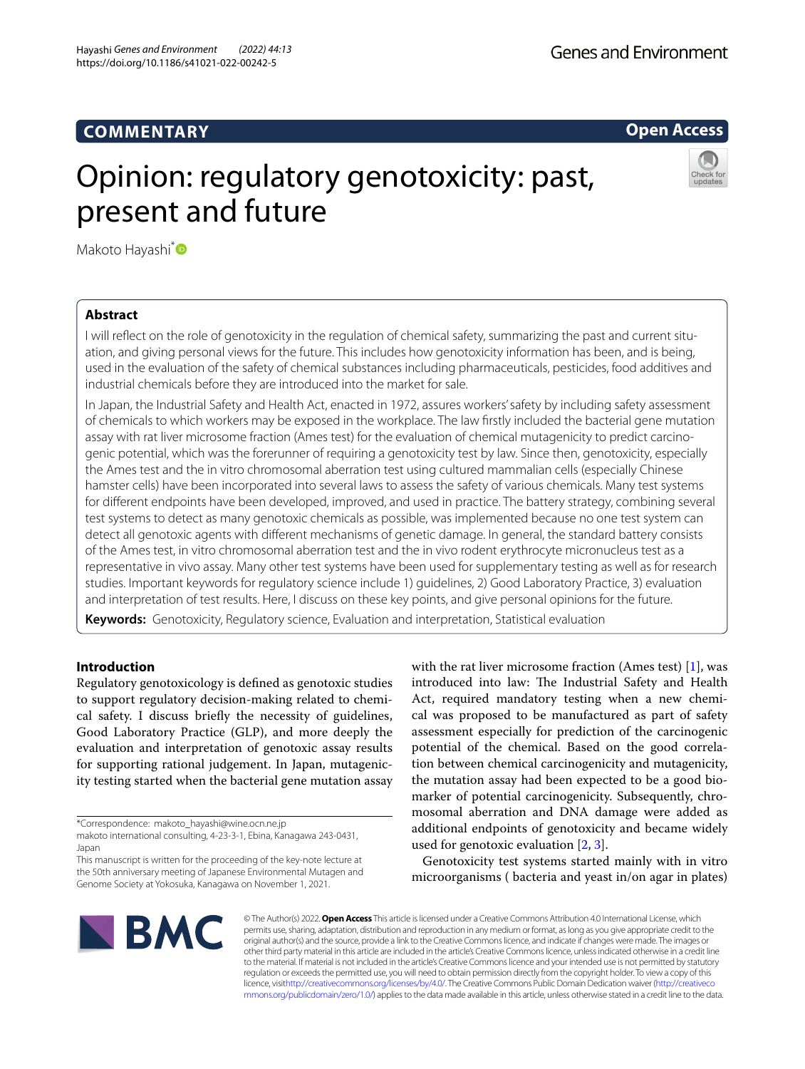# **COMMENTARY**

**Open Access**

# Opinion: regulatory genotoxicity: past, present and future



Makoto Hayashi<sup>[\\*](http://orcid.org/0000-0002-1195-8156)</sup>

# **Abstract**

I will reflect on the role of genotoxicity in the regulation of chemical safety, summarizing the past and current situation, and giving personal views for the future. This includes how genotoxicity information has been, and is being, used in the evaluation of the safety of chemical substances including pharmaceuticals, pesticides, food additives and industrial chemicals before they are introduced into the market for sale.

In Japan, the Industrial Safety and Health Act, enacted in 1972, assures workers' safety by including safety assessment of chemicals to which workers may be exposed in the workplace. The law frstly included the bacterial gene mutation assay with rat liver microsome fraction (Ames test) for the evaluation of chemical mutagenicity to predict carcino‑ genic potential, which was the forerunner of requiring a genotoxicity test by law. Since then, genotoxicity, especially the Ames test and the in vitro chromosomal aberration test using cultured mammalian cells (especially Chinese hamster cells) have been incorporated into several laws to assess the safety of various chemicals. Many test systems for diferent endpoints have been developed, improved, and used in practice. The battery strategy, combining several test systems to detect as many genotoxic chemicals as possible, was implemented because no one test system can detect all genotoxic agents with diferent mechanisms of genetic damage. In general, the standard battery consists of the Ames test, in vitro chromosomal aberration test and the in vivo rodent erythrocyte micronucleus test as a representative in vivo assay. Many other test systems have been used for supplementary testing as well as for research studies. Important keywords for regulatory science include 1) guidelines, 2) Good Laboratory Practice, 3) evaluation and interpretation of test results. Here, I discuss on these key points, and give personal opinions for the future.

**Keywords:** Genotoxicity, Regulatory science, Evaluation and interpretation, Statistical evaluation

# **Introduction**

Regulatory genotoxicology is defned as genotoxic studies to support regulatory decision-making related to chemical safety. I discuss briefy the necessity of guidelines, Good Laboratory Practice (GLP), and more deeply the evaluation and interpretation of genotoxic assay results for supporting rational judgement. In Japan, mutagenicity testing started when the bacterial gene mutation assay

\*Correspondence: makoto\_hayashi@wine.ocn.ne.jp

with the rat liver microsome fraction (Ames test) [\[1](#page-5-0)], was introduced into law: The Industrial Safety and Health Act, required mandatory testing when a new chemical was proposed to be manufactured as part of safety assessment especially for prediction of the carcinogenic potential of the chemical. Based on the good correlation between chemical carcinogenicity and mutagenicity, the mutation assay had been expected to be a good biomarker of potential carcinogenicity. Subsequently, chromosomal aberration and DNA damage were added as additional endpoints of genotoxicity and became widely used for genotoxic evaluation  $[2, 3]$  $[2, 3]$  $[2, 3]$ .

Genotoxicity test systems started mainly with in vitro microorganisms ( bacteria and yeast in/on agar in plates)



© The Author(s) 2022. **Open Access** This article is licensed under a Creative Commons Attribution 4.0 International License, which permits use, sharing, adaptation, distribution and reproduction in any medium or format, as long as you give appropriate credit to the original author(s) and the source, provide a link to the Creative Commons licence, and indicate if changes were made. The images or other third party material in this article are included in the article's Creative Commons licence, unless indicated otherwise in a credit line to the material. If material is not included in the article's Creative Commons licence and your intended use is not permitted by statutory regulation or exceeds the permitted use, you will need to obtain permission directly from the copyright holder. To view a copy of this licence, visi[thttp://creativecommons.org/licenses/by/4.0/](http://creativecommons.org/licenses/by/4.0/). The Creative Commons Public Domain Dedication waiver [\(http://creativeco](http://creativecommons.org/publicdomain/zero/1.0/) [mmons.org/publicdomain/zero/1.0/](http://creativecommons.org/publicdomain/zero/1.0/)) applies to the data made available in this article, unless otherwise stated in a credit line to the data.

makoto international consulting, 4‑23‑3‑1, Ebina, Kanagawa 243‑0431, Japan

This manuscript is written for the proceeding of the key-note lecture at the 50th anniversary meeting of Japanese Environmental Mutagen and Genome Society at Yokosuka, Kanagawa on November 1, 2021.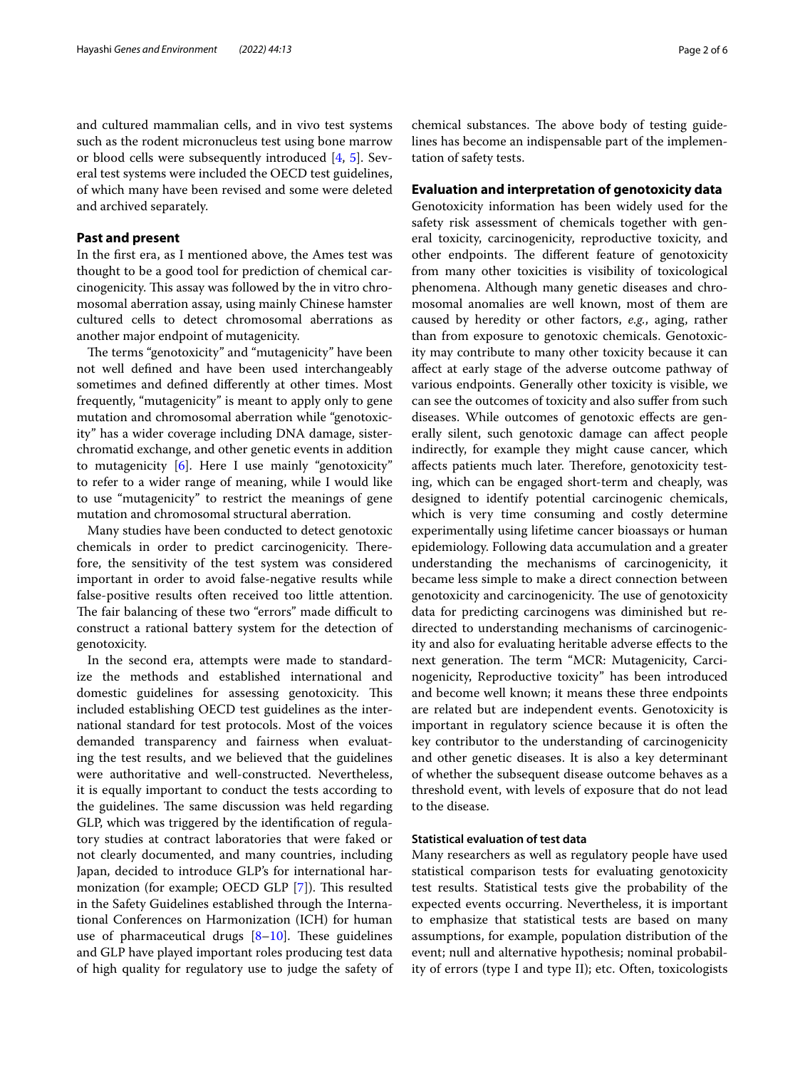and cultured mammalian cells, and in vivo test systems such as the rodent micronucleus test using bone marrow or blood cells were subsequently introduced [\[4](#page-5-3), [5\]](#page-5-4). Several test systems were included the OECD test guidelines, of which many have been revised and some were deleted and archived separately.

# **Past and present**

In the frst era, as I mentioned above, the Ames test was thought to be a good tool for prediction of chemical carcinogenicity. This assay was followed by the in vitro chromosomal aberration assay, using mainly Chinese hamster cultured cells to detect chromosomal aberrations as another major endpoint of mutagenicity.

The terms "genotoxicity" and "mutagenicity" have been not well defned and have been used interchangeably sometimes and defned diferently at other times. Most frequently, "mutagenicity" is meant to apply only to gene mutation and chromosomal aberration while "genotoxicity" has a wider coverage including DNA damage, sisterchromatid exchange, and other genetic events in addition to mutagenicity [[6\]](#page-5-5). Here I use mainly "genotoxicity" to refer to a wider range of meaning, while I would like to use "mutagenicity" to restrict the meanings of gene mutation and chromosomal structural aberration.

Many studies have been conducted to detect genotoxic chemicals in order to predict carcinogenicity. Therefore, the sensitivity of the test system was considered important in order to avoid false-negative results while false-positive results often received too little attention. The fair balancing of these two "errors" made difficult to construct a rational battery system for the detection of genotoxicity.

In the second era, attempts were made to standardize the methods and established international and domestic guidelines for assessing genotoxicity. This included establishing OECD test guidelines as the international standard for test protocols. Most of the voices demanded transparency and fairness when evaluating the test results, and we believed that the guidelines were authoritative and well-constructed. Nevertheless, it is equally important to conduct the tests according to the guidelines. The same discussion was held regarding GLP, which was triggered by the identifcation of regulatory studies at contract laboratories that were faked or not clearly documented, and many countries, including Japan, decided to introduce GLP's for international har-monization (for example; OECD GLP [\[7](#page-5-6)]). This resulted in the Safety Guidelines established through the International Conferences on Harmonization (ICH) for human use of pharmaceutical drugs  $[8-10]$  $[8-10]$ . These guidelines and GLP have played important roles producing test data of high quality for regulatory use to judge the safety of

# **Evaluation and interpretation of genotoxicity data**

Genotoxicity information has been widely used for the safety risk assessment of chemicals together with general toxicity, carcinogenicity, reproductive toxicity, and other endpoints. The different feature of genotoxicity from many other toxicities is visibility of toxicological phenomena. Although many genetic diseases and chromosomal anomalies are well known, most of them are caused by heredity or other factors, *e.g.*, aging, rather than from exposure to genotoxic chemicals. Genotoxicity may contribute to many other toxicity because it can afect at early stage of the adverse outcome pathway of various endpoints. Generally other toxicity is visible, we can see the outcomes of toxicity and also sufer from such diseases. While outcomes of genotoxic efects are generally silent, such genotoxic damage can afect people indirectly, for example they might cause cancer, which affects patients much later. Therefore, genotoxicity testing, which can be engaged short-term and cheaply, was designed to identify potential carcinogenic chemicals, which is very time consuming and costly determine experimentally using lifetime cancer bioassays or human epidemiology. Following data accumulation and a greater understanding the mechanisms of carcinogenicity, it became less simple to make a direct connection between genotoxicity and carcinogenicity. The use of genotoxicity data for predicting carcinogens was diminished but redirected to understanding mechanisms of carcinogenicity and also for evaluating heritable adverse efects to the next generation. The term "MCR: Mutagenicity, Carcinogenicity, Reproductive toxicity" has been introduced and become well known; it means these three endpoints are related but are independent events. Genotoxicity is important in regulatory science because it is often the key contributor to the understanding of carcinogenicity and other genetic diseases. It is also a key determinant of whether the subsequent disease outcome behaves as a threshold event, with levels of exposure that do not lead to the disease.

# **Statistical evaluation of test data**

Many researchers as well as regulatory people have used statistical comparison tests for evaluating genotoxicity test results. Statistical tests give the probability of the expected events occurring. Nevertheless, it is important to emphasize that statistical tests are based on many assumptions, for example, population distribution of the event; null and alternative hypothesis; nominal probability of errors (type I and type II); etc. Often, toxicologists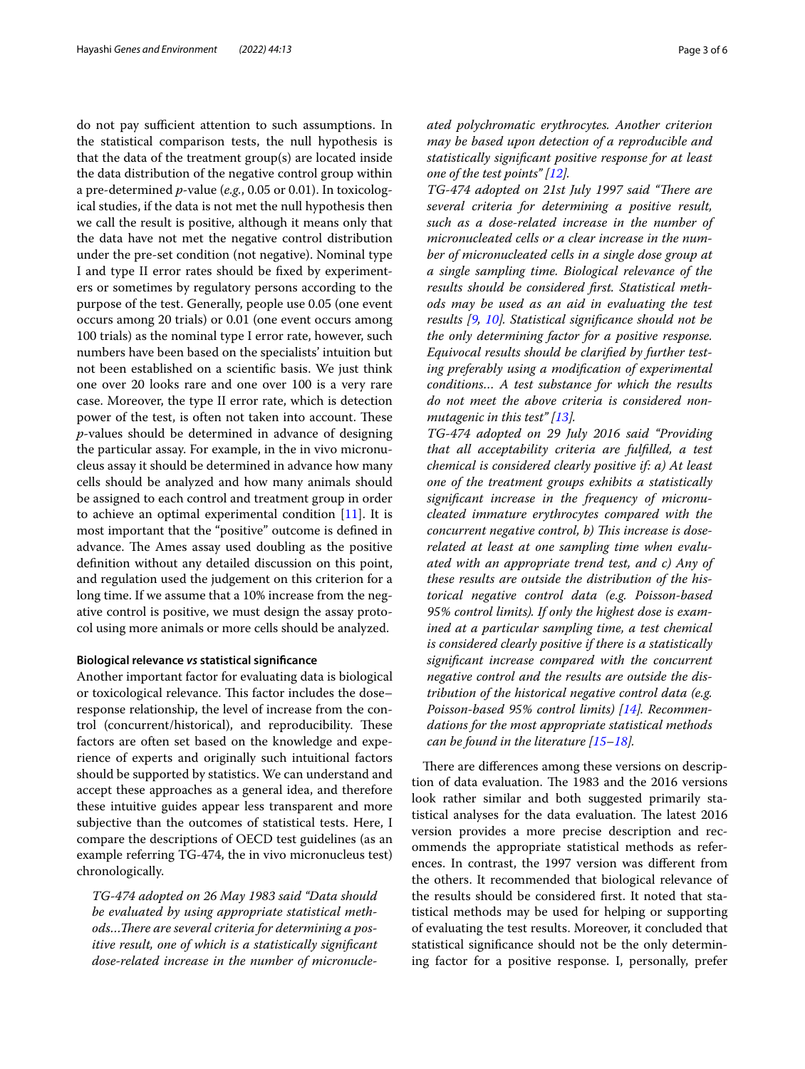do not pay sufficient attention to such assumptions. In the statistical comparison tests, the null hypothesis is that the data of the treatment group(s) are located inside the data distribution of the negative control group within a pre-determined *p*-value (*e.g.*, 0.05 or 0.01). In toxicological studies, if the data is not met the null hypothesis then we call the result is positive, although it means only that the data have not met the negative control distribution under the pre-set condition (not negative). Nominal type I and type II error rates should be fxed by experimenters or sometimes by regulatory persons according to the purpose of the test. Generally, people use 0.05 (one event occurs among 20 trials) or 0.01 (one event occurs among 100 trials) as the nominal type I error rate, however, such numbers have been based on the specialists' intuition but not been established on a scientifc basis. We just think one over 20 looks rare and one over 100 is a very rare case. Moreover, the type II error rate, which is detection power of the test, is often not taken into account. These *p*-values should be determined in advance of designing the particular assay. For example, in the in vivo micronucleus assay it should be determined in advance how many cells should be analyzed and how many animals should be assigned to each control and treatment group in order to achieve an optimal experimental condition [\[11](#page-5-9)]. It is most important that the "positive" outcome is defned in advance. The Ames assay used doubling as the positive defnition without any detailed discussion on this point, and regulation used the judgement on this criterion for a long time. If we assume that a 10% increase from the negative control is positive, we must design the assay protocol using more animals or more cells should be analyzed.

### **Biological relevance** *vs* **statistical signifcance**

Another important factor for evaluating data is biological or toxicological relevance. This factor includes the doseresponse relationship, the level of increase from the control (concurrent/historical), and reproducibility. These factors are often set based on the knowledge and experience of experts and originally such intuitional factors should be supported by statistics. We can understand and accept these approaches as a general idea, and therefore these intuitive guides appear less transparent and more subjective than the outcomes of statistical tests. Here, I compare the descriptions of OECD test guidelines (as an example referring TG-474, the in vivo micronucleus test) chronologically.

*TG-474 adopted on 26 May 1983 said "Data should be evaluated by using appropriate statistical meth*ods...There are several criteria for determining a pos*itive result, one of which is a statistically signifcant dose-related increase in the number of micronucle-* *ated polychromatic erythrocytes. Another criterion may be based upon detection of a reproducible and statistically signifcant positive response for at least one of the test points" [[12\]](#page-5-10).*

*TG-474 adopted on 21st July 1997 said "There are several criteria for determining a positive result, such as a dose-related increase in the number of micronucleated cells or a clear increase in the number of micronucleated cells in a single dose group at a single sampling time. Biological relevance of the results should be considered frst. Statistical methods may be used as an aid in evaluating the test results [[9,](#page-5-11) [10](#page-5-8)]. Statistical signifcance should not be the only determining factor for a positive response. Equivocal results should be clarifed by further testing preferably using a modifcation of experimental conditions… A test substance for which the results do not meet the above criteria is considered nonmutagenic in this test" [[13\]](#page-5-12).*

*TG-474 adopted on 29 July 2016 said "Providing that all acceptability criteria are fulflled, a test chemical is considered clearly positive if: a) At least one of the treatment groups exhibits a statistically signifcant increase in the frequency of micronucleated immature erythrocytes compared with the*  concurrent negative control, b) This increase is dose*related at least at one sampling time when evaluated with an appropriate trend test, and c) Any of these results are outside the distribution of the historical negative control data (e.g. Poisson-based 95% control limits). If only the highest dose is examined at a particular sampling time, a test chemical is considered clearly positive if there is a statistically signifcant increase compared with the concurrent negative control and the results are outside the distribution of the historical negative control data (e.g. Poisson-based 95% control limits) [\[14](#page-5-13)]. Recommendations for the most appropriate statistical methods can be found in the literature [[15–](#page-5-14)[18](#page-5-15)].*

There are differences among these versions on description of data evaluation. The 1983 and the 2016 versions look rather similar and both suggested primarily statistical analyses for the data evaluation. The latest 2016 version provides a more precise description and recommends the appropriate statistical methods as references. In contrast, the 1997 version was diferent from the others. It recommended that biological relevance of the results should be considered frst. It noted that statistical methods may be used for helping or supporting of evaluating the test results. Moreover, it concluded that statistical signifcance should not be the only determining factor for a positive response. I, personally, prefer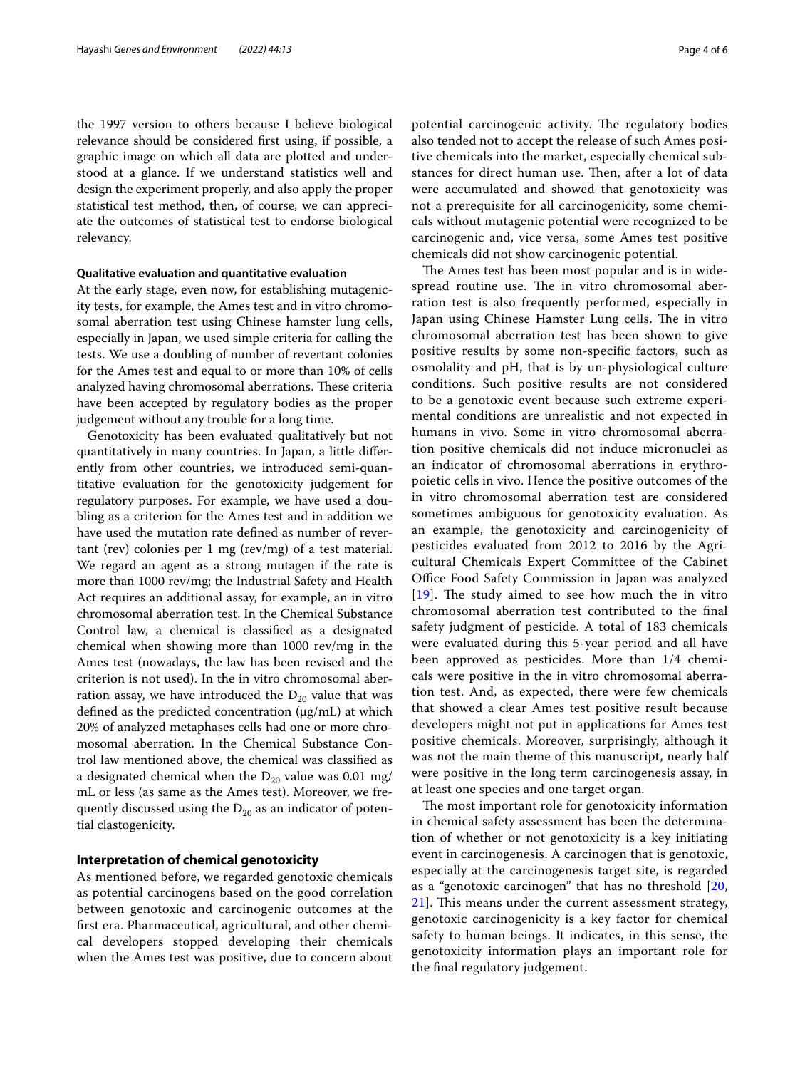the 1997 version to others because I believe biological relevance should be considered frst using, if possible, a graphic image on which all data are plotted and understood at a glance. If we understand statistics well and design the experiment properly, and also apply the proper statistical test method, then, of course, we can appreciate the outcomes of statistical test to endorse biological relevancy.

# **Qualitative evaluation and quantitative evaluation**

At the early stage, even now, for establishing mutagenicity tests, for example, the Ames test and in vitro chromosomal aberration test using Chinese hamster lung cells, especially in Japan, we used simple criteria for calling the tests. We use a doubling of number of revertant colonies for the Ames test and equal to or more than 10% of cells analyzed having chromosomal aberrations. These criteria have been accepted by regulatory bodies as the proper judgement without any trouble for a long time.

Genotoxicity has been evaluated qualitatively but not quantitatively in many countries. In Japan, a little diferently from other countries, we introduced semi-quantitative evaluation for the genotoxicity judgement for regulatory purposes. For example, we have used a doubling as a criterion for the Ames test and in addition we have used the mutation rate defned as number of revertant (rev) colonies per 1 mg (rev/mg) of a test material. We regard an agent as a strong mutagen if the rate is more than 1000 rev/mg; the Industrial Safety and Health Act requires an additional assay, for example, an in vitro chromosomal aberration test. In the Chemical Substance Control law, a chemical is classifed as a designated chemical when showing more than 1000 rev/mg in the Ames test (nowadays, the law has been revised and the criterion is not used). In the in vitro chromosomal aberration assay, we have introduced the  $D_{20}$  value that was defined as the predicted concentration  $(\mu g/mL)$  at which 20% of analyzed metaphases cells had one or more chromosomal aberration. In the Chemical Substance Control law mentioned above, the chemical was classifed as a designated chemical when the  $D_{20}$  value was 0.01 mg/ mL or less (as same as the Ames test). Moreover, we frequently discussed using the  $D_{20}$  as an indicator of potential clastogenicity.

# **Interpretation of chemical genotoxicity**

As mentioned before, we regarded genotoxic chemicals as potential carcinogens based on the good correlation between genotoxic and carcinogenic outcomes at the frst era. Pharmaceutical, agricultural, and other chemical developers stopped developing their chemicals when the Ames test was positive, due to concern about potential carcinogenic activity. The regulatory bodies also tended not to accept the release of such Ames positive chemicals into the market, especially chemical substances for direct human use. Then, after a lot of data were accumulated and showed that genotoxicity was not a prerequisite for all carcinogenicity, some chemicals without mutagenic potential were recognized to be carcinogenic and, vice versa, some Ames test positive chemicals did not show carcinogenic potential.

The Ames test has been most popular and is in widespread routine use. The in vitro chromosomal aberration test is also frequently performed, especially in Japan using Chinese Hamster Lung cells. The in vitro chromosomal aberration test has been shown to give positive results by some non-specifc factors, such as osmolality and pH, that is by un-physiological culture conditions. Such positive results are not considered to be a genotoxic event because such extreme experimental conditions are unrealistic and not expected in humans in vivo. Some in vitro chromosomal aberration positive chemicals did not induce micronuclei as an indicator of chromosomal aberrations in erythropoietic cells in vivo. Hence the positive outcomes of the in vitro chromosomal aberration test are considered sometimes ambiguous for genotoxicity evaluation. As an example, the genotoxicity and carcinogenicity of pesticides evaluated from 2012 to 2016 by the Agricultural Chemicals Expert Committee of the Cabinet Office Food Safety Commission in Japan was analyzed [ $19$ ]. The study aimed to see how much the in vitro chromosomal aberration test contributed to the fnal safety judgment of pesticide. A total of 183 chemicals were evaluated during this 5-year period and all have been approved as pesticides. More than 1/4 chemicals were positive in the in vitro chromosomal aberration test. And, as expected, there were few chemicals that showed a clear Ames test positive result because developers might not put in applications for Ames test positive chemicals. Moreover, surprisingly, although it was not the main theme of this manuscript, nearly half were positive in the long term carcinogenesis assay, in at least one species and one target organ.

The most important role for genotoxicity information in chemical safety assessment has been the determination of whether or not genotoxicity is a key initiating event in carcinogenesis. A carcinogen that is genotoxic, especially at the carcinogenesis target site, is regarded as a "genotoxic carcinogen" that has no threshold [\[20](#page-5-17), [21\]](#page-5-18). This means under the current assessment strategy, genotoxic carcinogenicity is a key factor for chemical safety to human beings. It indicates, in this sense, the genotoxicity information plays an important role for the fnal regulatory judgement.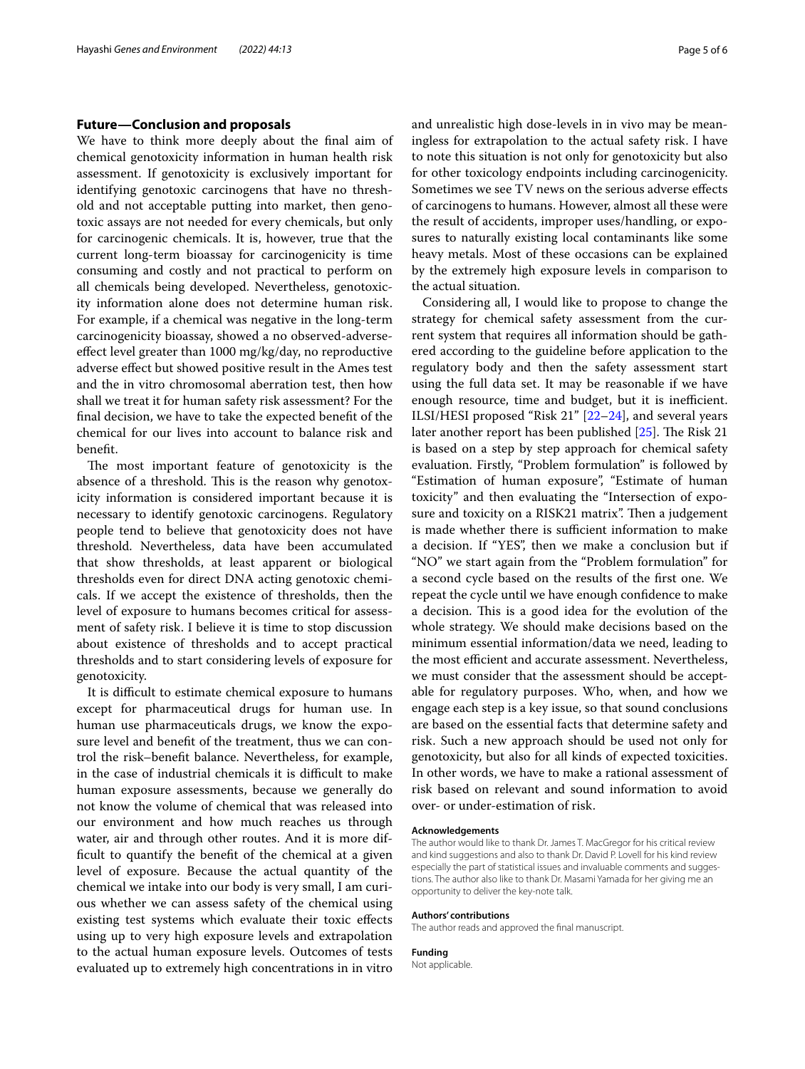# **Future—Conclusion and proposals**

We have to think more deeply about the fnal aim of chemical genotoxicity information in human health risk assessment. If genotoxicity is exclusively important for identifying genotoxic carcinogens that have no threshold and not acceptable putting into market, then genotoxic assays are not needed for every chemicals, but only for carcinogenic chemicals. It is, however, true that the current long-term bioassay for carcinogenicity is time consuming and costly and not practical to perform on all chemicals being developed. Nevertheless, genotoxicity information alone does not determine human risk. For example, if a chemical was negative in the long-term carcinogenicity bioassay, showed a no observed-adverseefect level greater than 1000 mg/kg/day, no reproductive adverse efect but showed positive result in the Ames test and the in vitro chromosomal aberration test, then how shall we treat it for human safety risk assessment? For the fnal decision, we have to take the expected beneft of the chemical for our lives into account to balance risk and beneft.

The most important feature of genotoxicity is the absence of a threshold. This is the reason why genotoxicity information is considered important because it is necessary to identify genotoxic carcinogens. Regulatory people tend to believe that genotoxicity does not have threshold. Nevertheless, data have been accumulated that show thresholds, at least apparent or biological thresholds even for direct DNA acting genotoxic chemicals. If we accept the existence of thresholds, then the level of exposure to humans becomes critical for assessment of safety risk. I believe it is time to stop discussion about existence of thresholds and to accept practical thresholds and to start considering levels of exposure for genotoxicity.

It is difficult to estimate chemical exposure to humans except for pharmaceutical drugs for human use. In human use pharmaceuticals drugs, we know the exposure level and beneft of the treatment, thus we can control the risk–beneft balance. Nevertheless, for example, in the case of industrial chemicals it is difficult to make human exposure assessments, because we generally do not know the volume of chemical that was released into our environment and how much reaches us through water, air and through other routes. And it is more diffcult to quantify the beneft of the chemical at a given level of exposure. Because the actual quantity of the chemical we intake into our body is very small, I am curious whether we can assess safety of the chemical using existing test systems which evaluate their toxic efects using up to very high exposure levels and extrapolation to the actual human exposure levels. Outcomes of tests evaluated up to extremely high concentrations in in vitro and unrealistic high dose-levels in in vivo may be meaningless for extrapolation to the actual safety risk. I have to note this situation is not only for genotoxicity but also for other toxicology endpoints including carcinogenicity. Sometimes we see TV news on the serious adverse efects of carcinogens to humans. However, almost all these were the result of accidents, improper uses/handling, or exposures to naturally existing local contaminants like some heavy metals. Most of these occasions can be explained by the extremely high exposure levels in comparison to the actual situation.

Considering all, I would like to propose to change the strategy for chemical safety assessment from the current system that requires all information should be gathered according to the guideline before application to the regulatory body and then the safety assessment start using the full data set. It may be reasonable if we have enough resource, time and budget, but it is inefficient. ILSI/HESI proposed "Risk 21" [[22](#page-5-19)[–24](#page-5-20)], and several years later another report has been published  $[25]$  $[25]$ . The Risk 21 is based on a step by step approach for chemical safety evaluation. Firstly, "Problem formulation" is followed by "Estimation of human exposure", "Estimate of human toxicity" and then evaluating the "Intersection of exposure and toxicity on a RISK21 matrix". Then a judgement is made whether there is sufficient information to make a decision. If "YES", then we make a conclusion but if "NO" we start again from the "Problem formulation" for a second cycle based on the results of the frst one. We repeat the cycle until we have enough confdence to make a decision. This is a good idea for the evolution of the whole strategy. We should make decisions based on the minimum essential information/data we need, leading to the most efficient and accurate assessment. Nevertheless, we must consider that the assessment should be acceptable for regulatory purposes. Who, when, and how we engage each step is a key issue, so that sound conclusions are based on the essential facts that determine safety and risk. Such a new approach should be used not only for genotoxicity, but also for all kinds of expected toxicities. In other words, we have to make a rational assessment of risk based on relevant and sound information to avoid over- or under-estimation of risk.

# **Acknowledgements**

The author would like to thank Dr. James T. MacGregor for his critical review and kind suggestions and also to thank Dr. David P. Lovell for his kind review especially the part of statistical issues and invaluable comments and suggestions. The author also like to thank Dr. Masami Yamada for her giving me an opportunity to deliver the key-note talk.

#### **Authors' contributions**

The author reads and approved the fnal manuscript.

#### **Funding**

Not applicable.